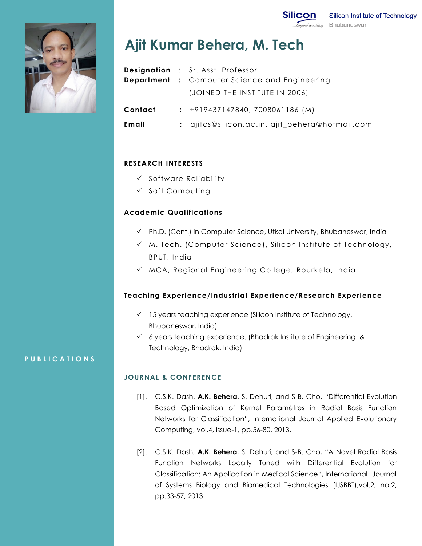



# **Ajit Kumar Behera, M. Tech**

|         | <b>Designation</b> : Sr. Asst. Professor             |
|---------|------------------------------------------------------|
|         | <b>Department</b> : Computer Science and Engineering |
|         | (JOINED THE INSTITUTE IN 2006)                       |
| Contact | $: +919437147840, 7008061186 (M)$                    |
| Email   | : ajitcs@silicon.ac.in, ajit_behera@hotmail.com      |

## **RESEARCH INTERESTS**

- ✓ Software Reliability
- ✓ Soft Computing

## **Academic Qualifications**

- ✓ Ph.D. (Cont.) in Computer Science, Utkal University, Bhubaneswar, India
- ✓ M. Tech. (Computer Science), Silicon Institute of Technology, BPUT, India
- ✓ MCA, Regional Engineering College, Rourkela, India

### **Teaching Experience/Industrial Experience/Research Experience**

- ✓ 15 years teaching experience (Silicon Institute of Technology, Bhubaneswar, India)
- ✓ 6 years teaching experience. (Bhadrak Institute of Engineering & Technology, Bhadrak, India)

# **P U B L I C A T I O N S**

### **JOURNAL & CONFERENCE**

- [1]. C.S.K. Dash, **A.K. Behera**, S. Dehuri, and S-B. Cho, "Differential Evolution Based Optimization of Kernel Paramètres in Radial Basis Function Networks for Classification", International Journal Applied Evolutionary Computing, vol.4, issue-1, pp.56-80, 2013.
- [2]. C.S.K. Dash, **A.K. Behera**, S. Dehuri, and S-B. Cho, "A Novel Radial Basis Function Networks Locally Tuned with Differential Evolution for Classification: An Application in Medical Science", International Journal of Systems Biology and Biomedical Technologies (IJSBBT),vol.2, no.2, pp.33-57, 2013.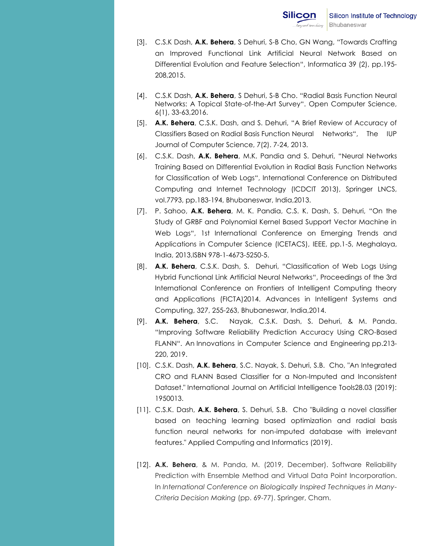- [3]. C.S.K Dash, **A.K. Behera**, S Dehuri, S-B Cho, GN Wang, "[Towards Crafting](https://scholar.google.co.in/citations?view_op=view_citation&hl=en&user=OHo3mMQAAAAJ&authuser=1&citation_for_view=OHo3mMQAAAAJ:eQOLeE2rZwMC)  [an Improved Functional Link Artificial Neural Network](https://scholar.google.co.in/citations?view_op=view_citation&hl=en&user=OHo3mMQAAAAJ&authuser=1&citation_for_view=OHo3mMQAAAAJ:eQOLeE2rZwMC) Based on [Differential Evolution and Feature Selection](https://scholar.google.co.in/citations?view_op=view_citation&hl=en&user=OHo3mMQAAAAJ&authuser=1&citation_for_view=OHo3mMQAAAAJ:eQOLeE2rZwMC)", Informatica 39 (2), pp.195- 208,2015.
- [4]. C.S.K Dash, **A.K. Behera**, S Dehuri, S-B Cho. "Radial Basis Function Neural Networks: A Topical State-of-the-Art Survey". Open Computer Science, 6(1), 33-63,2016.
- [5]. **A.K. Behera**, C.S.K. Dash, and S. Dehuri, "A Brief Review of Accuracy of Classifiers Based on Radial Basis Function Neural Networks", The IUP Journal of Computer Science, 7(2). 7-24, 2013.
- [6]. C.S.K. Dash, **A.K. Behera**, M.K. Pandia and S. Dehuri, "Neural Networks Training Based on Differential Evolution in Radial Basis Function Networks for Classification of Web Logs", International Conference on Distributed Computing and Internet Technology (ICDCIT 2013), Springer LNCS, vol.7793, pp.183-194, Bhubaneswar, India,2013.
- [7]. P. Sahoo, **A.K. Behera**, M. K. Pandia, C.S. K. Dash, S. Dehuri, "On the Study of GRBF and Polynomial Kernel Based Support Vector Machine in Web Logs", 1st International Conference on Emerging Trends and Applications in Computer Science (ICETACS), IEEE, pp.1-5, Meghalaya, India, 2013,ISBN 978-1-4673-5250-5.
- [8]. **A.K. Behera**, C.S.K. Dash, S. Dehuri, "Classification of Web Logs Using Hybrid Functional Link Artificial Neural Networks", Proceedings of the 3rd International Conference on Frontiers of Intelligent Computing theory and Applications (FICTA)2014. Advances in Intelligent Systems and Computing, 327, 255-263, Bhubaneswar, India,2014.
- [9]. **A.K. Behera**, S.C. Nayak, C.S.K. Dash, S. Dehuri, & M. Panda. "Improving Software Reliability Prediction Accuracy Using CRO-Based FLANN". An Innovations in Computer Science and Engineering pp.213- 220, 2019.
- [10]. C.S.K. Dash, **A.K. Behera**, S.C. Nayak, S. Dehuri, S.B. Cho, "An Integrated CRO and FLANN Based Classifier for a Non-Imputed and Inconsistent Dataset." International Journal on Artificial Intelligence Tools28.03 (2019): 1950013.
- [11]. C.S.K. Dash, **A.K. Behera**, S. Dehuri, S.B. Cho "Building a novel classifier based on teaching learning based optimization and radial basis function neural networks for non-imputed database with irrelevant features." Applied Computing and Informatics (2019).
- [12]. **A.K. Behera**, & M. Panda, M. (2019, December). Software Reliability Prediction with Ensemble Method and Virtual Data Point Incorporation. In *International Conference on Biologically Inspired Techniques in Many-Criteria Decision Making* (pp. 69-77). Springer, Cham.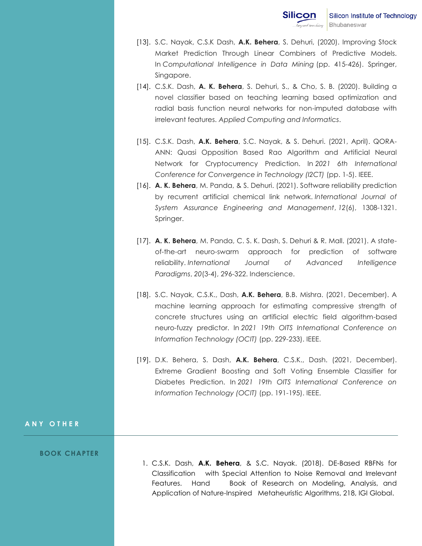- [13]. S.C. Nayak, C.S.K Dash, **A.K. Behera**, S. Dehuri, (2020). Improving Stock Market Prediction Through Linear Combiners of Predictive Models. In *Computational Intelligence in Data Mining* (pp. 415-426). Springer, Singapore.
- [14]. C.S.K. Dash, **A. K. Behera**, S. Dehuri, S., & Cho, S. B. (2020). Building a novel classifier based on teaching learning based optimization and radial basis function neural networks for non-imputed database with irrelevant features. *Applied Computing and Informatics*.
- [15]. C.S.K. Dash, **A.K. Behera**, S.C. Nayak, & S. Dehuri. (2021, April). QORA-ANN: Quasi Opposition Based Rao Algorithm and Artificial Neural Network for Cryptocurrency Prediction. In *2021 6th International Conference for Convergence in Technology (I2CT)* (pp. 1-5). IEEE.
- [16]. **A. K. Behera**, M. Panda, & S. Dehuri. (2021). Software reliability prediction by recurrent artificial chemical link network. *International Journal of System Assurance Engineering and Management*, *12*(6), 1308-1321. Springer.
- [17]. **A. K. Behera**, M. Panda, C. S. K. Dash, S. Dehuri & R. Mall. (2021). A stateof-the-art neuro-swarm approach for prediction of software reliability. *International Journal of Advanced Intelligence Paradigms*, *20*(3-4), 296-322. Inderscience.
- [18]. S.C. Nayak, C.S.K., Dash, **A.K. Behera**, B.B. Mishra. (2021, December). A machine learning approach for estimating compressive strength of concrete structures using an artificial electric field algorithm-based neuro-fuzzy predictor. In *2021 19th OITS International Conference on Information Technology (OCIT)* (pp. 229-233). IEEE.
- [19]. D.K. Behera, S. Dash, **A.K. Behera**, C.S.K., Dash. (2021, December). Extreme Gradient Boosting and Soft Voting Ensemble Classifier for Diabetes Prediction. In *2021 19th OITS International Conference on Information Technology (OCIT)* (pp. 191-195). IEEE.

#### **A N Y O T H E R**

#### **BOOK CHAPTER**

1. C.S.K. Dash, **A.K. Behera**, & S.C. Nayak. (2018). DE-Based RBFNs for Classification with Special Attention to Noise Removal and Irrelevant Features. Hand Book of Research on Modeling, Analysis, and Application of Nature-Inspired Metaheuristic Algorithms, 218, IGI Global.